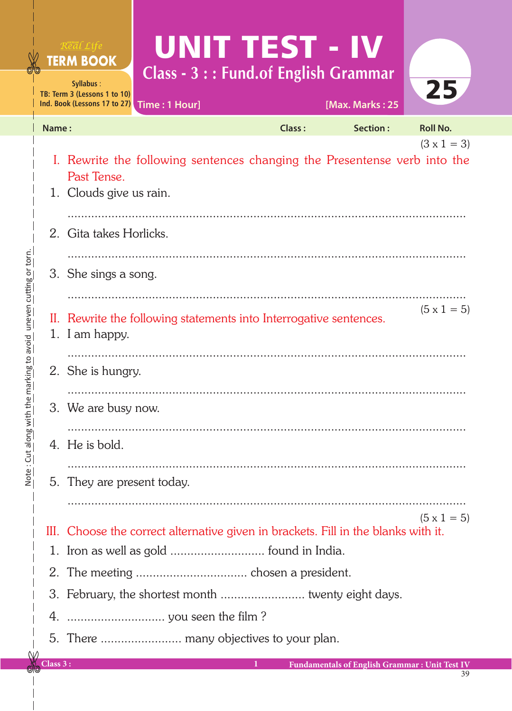|       | Real Life<br><b>TERM BOOK</b><br>Syllabus:<br>TB: Term 3 (Lessons 1 to 10)<br>Ind. Book (Lessons 17 to 27) | UNIT TEST - IV<br><b>Class - 3 : : Fund.of English Grammar</b><br>Time: 1 Hour]    |               | [Max. Marks: 25 | 25                 |
|-------|------------------------------------------------------------------------------------------------------------|------------------------------------------------------------------------------------|---------------|-----------------|--------------------|
| Name: |                                                                                                            |                                                                                    | <b>Class:</b> | Section:        | <b>Roll No.</b>    |
|       | Past Tense.<br>1. Clouds give us rain.                                                                     | I. Rewrite the following sentences changing the Presentense verb into the          |               |                 | $(3 \times 1 = 3)$ |
|       | 2. Gita takes Horlicks.                                                                                    |                                                                                    |               |                 |                    |
|       | 3. She sings a song.                                                                                       |                                                                                    |               |                 |                    |
|       | 1. I am happy.                                                                                             | II. Rewrite the following statements into Interrogative sentences.                 |               |                 | $(5 \times 1 = 5)$ |
|       | 2. She is hungry.                                                                                          |                                                                                    |               |                 |                    |
|       | 3. We are busy now.                                                                                        |                                                                                    |               |                 |                    |
|       | 4. He is bold.                                                                                             |                                                                                    |               |                 |                    |
|       | 5. They are present today.                                                                                 |                                                                                    |               |                 |                    |
|       |                                                                                                            | III. Choose the correct alternative given in brackets. Fill in the blanks with it. |               |                 | $(5 \times 1 = 5)$ |
|       |                                                                                                            | 1. Iron as well as gold  found in India.                                           |               |                 |                    |
|       |                                                                                                            |                                                                                    |               |                 |                    |
|       |                                                                                                            |                                                                                    |               |                 |                    |
|       |                                                                                                            |                                                                                    |               |                 |                    |
|       |                                                                                                            |                                                                                    |               |                 |                    |
|       |                                                                                                            |                                                                                    |               |                 |                    |

**Class 3 : 1 Fundamentals of English Grammar : Unit Test IV**